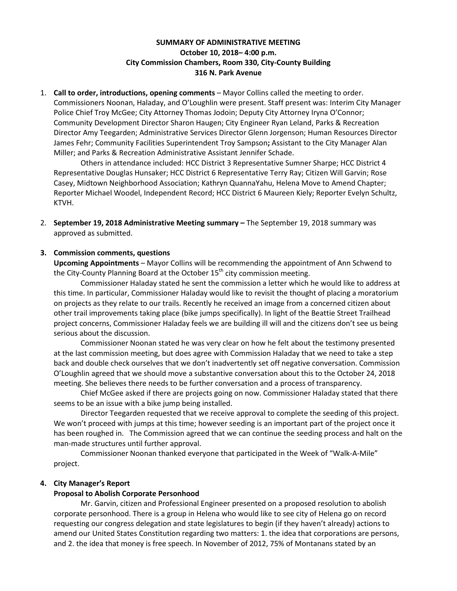# **SUMMARY OF ADMINISTRATIVE MEETING October 10, 2018– 4:00 p.m. City Commission Chambers, Room 330, City-County Building 316 N. Park Avenue**

1. **Call to order, introductions, opening comments** – Mayor Collins called the meeting to order. Commissioners Noonan, Haladay, and O'Loughlin were present. Staff present was: Interim City Manager Police Chief Troy McGee; City Attorney Thomas Jodoin; Deputy City Attorney Iryna O'Connor; Community Development Director Sharon Haugen; City Engineer Ryan Leland, Parks & Recreation Director Amy Teegarden; Administrative Services Director Glenn Jorgenson; Human Resources Director James Fehr; Community Facilities Superintendent Troy Sampson**;** Assistant to the City Manager Alan Miller; and Parks & Recreation Administrative Assistant Jennifer Schade.

Others in attendance included: HCC District 3 Representative Sumner Sharpe; HCC District 4 Representative Douglas Hunsaker; HCC District 6 Representative Terry Ray; Citizen Will Garvin; Rose Casey, Midtown Neighborhood Association; Kathryn QuannaYahu, Helena Move to Amend Chapter; Reporter Michael Woodel, Independent Record; HCC District 6 Maureen Kiely; Reporter Evelyn Schultz, KTVH.

2. **September 19, 2018 Administrative Meeting summary –** The September 19, 2018 summary was approved as submitted.

# **3. Commission comments, questions**

**Upcoming Appointments** – Mayor Collins will be recommending the appointment of Ann Schwend to the City-County Planning Board at the October  $15<sup>th</sup>$  city commission meeting.

Commissioner Haladay stated he sent the commission a letter which he would like to address at this time. In particular, Commissioner Haladay would like to revisit the thought of placing a moratorium on projects as they relate to our trails. Recently he received an image from a concerned citizen about other trail improvements taking place (bike jumps specifically). In light of the Beattie Street Trailhead project concerns, Commissioner Haladay feels we are building ill will and the citizens don't see us being serious about the discussion.

Commissioner Noonan stated he was very clear on how he felt about the testimony presented at the last commission meeting, but does agree with Commission Haladay that we need to take a step back and double check ourselves that we don't inadvertently set off negative conversation. Commission O'Loughlin agreed that we should move a substantive conversation about this to the October 24, 2018 meeting. She believes there needs to be further conversation and a process of transparency.

Chief McGee asked if there are projects going on now. Commissioner Haladay stated that there seems to be an issue with a bike jump being installed.

Director Teegarden requested that we receive approval to complete the seeding of this project. We won't proceed with jumps at this time; however seeding is an important part of the project once it has been roughed in. The Commission agreed that we can continue the seeding process and halt on the man-made structures until further approval.

Commissioner Noonan thanked everyone that participated in the Week of "Walk-A-Mile" project.

# **4. City Manager's Report**

# **Proposal to Abolish Corporate Personhood**

Mr. Garvin, citizen and Professional Engineer presented on a proposed resolution to abolish corporate personhood. There is a group in Helena who would like to see city of Helena go on record requesting our congress delegation and state legislatures to begin (if they haven't already) actions to amend our United States Constitution regarding two matters: 1. the idea that corporations are persons, and 2. the idea that money is free speech. In November of 2012, 75% of Montanans stated by an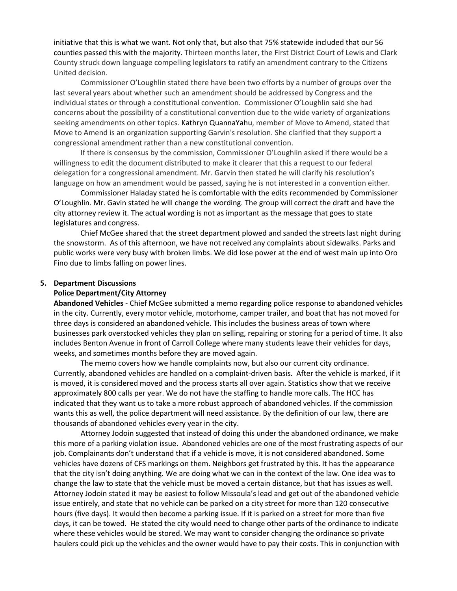initiative that this is what we want. Not only that, but also that 75% statewide included that our 56 counties passed this with the majority. Thirteen months later, the First District Court of Lewis and Clark County struck down language compelling legislators to ratify an amendment contrary to the Citizens United decision.

Commissioner O'Loughlin stated there have been two efforts by a number of groups over the last several years about whether such an amendment should be addressed by Congress and the individual states or through a constitutional convention. Commissioner O'Loughlin said she had concerns about the possibility of a constitutional convention due to the wide variety of organizations seeking amendments on other topics. Kathryn QuannaYahu, member of Move to Amend, stated that Move to Amend is an organization supporting Garvin's resolution. She clarified that they support a congressional amendment rather than a new constitutional convention.

If there is consensus by the commission, Commissioner O'Loughlin asked if there would be a willingness to edit the document distributed to make it clearer that this a request to our federal delegation for a congressional amendment. Mr. Garvin then stated he will clarify his resolution's language on how an amendment would be passed, saying he is not interested in a convention either.

Commissioner Haladay stated he is comfortable with the edits recommended by Commissioner O'Loughlin. Mr. Gavin stated he will change the wording. The group will correct the draft and have the city attorney review it. The actual wording is not as important as the message that goes to state legislatures and congress.

Chief McGee shared that the street department plowed and sanded the streets last night during the snowstorm. As of this afternoon, we have not received any complaints about sidewalks. Parks and public works were very busy with broken limbs. We did lose power at the end of west main up into Oro Fino due to limbs falling on power lines.

### **5. Department Discussions**

#### **Police Department/City Attorney**

**Abandoned Vehicles** - Chief McGee submitted a memo regarding police response to abandoned vehicles in the city. Currently, every motor vehicle, motorhome, camper trailer, and boat that has not moved for three days is considered an abandoned vehicle. This includes the business areas of town where businesses park overstocked vehicles they plan on selling, repairing or storing for a period of time. It also includes Benton Avenue in front of Carroll College where many students leave their vehicles for days, weeks, and sometimes months before they are moved again.

The memo covers how we handle complaints now, but also our current city ordinance. Currently, abandoned vehicles are handled on a complaint-driven basis. After the vehicle is marked, if it is moved, it is considered moved and the process starts all over again. Statistics show that we receive approximately 800 calls per year. We do not have the staffing to handle more calls. The HCC has indicated that they want us to take a more robust approach of abandoned vehicles. If the commission wants this as well, the police department will need assistance. By the definition of our law, there are thousands of abandoned vehicles every year in the city.

Attorney Jodoin suggested that instead of doing this under the abandoned ordinance, we make this more of a parking violation issue. Abandoned vehicles are one of the most frustrating aspects of our job. Complainants don't understand that if a vehicle is move, it is not considered abandoned. Some vehicles have dozens of CFS markings on them. Neighbors get frustrated by this. It has the appearance that the city isn't doing anything. We are doing what we can in the context of the law. One idea was to change the law to state that the vehicle must be moved a certain distance, but that has issues as well. Attorney Jodoin stated it may be easiest to follow Missoula's lead and get out of the abandoned vehicle issue entirely, and state that no vehicle can be parked on a city street for more than 120 consecutive hours (five days). It would then become a parking issue. If it is parked on a street for more than five days, it can be towed. He stated the city would need to change other parts of the ordinance to indicate where these vehicles would be stored. We may want to consider changing the ordinance so private haulers could pick up the vehicles and the owner would have to pay their costs. This in conjunction with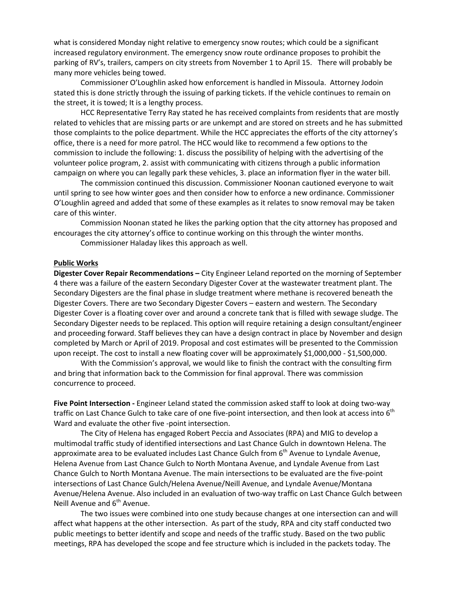what is considered Monday night relative to emergency snow routes; which could be a significant increased regulatory environment. The emergency snow route ordinance proposes to prohibit the parking of RV's, trailers, campers on city streets from November 1 to April 15. There will probably be many more vehicles being towed.

Commissioner O'Loughlin asked how enforcement is handled in Missoula. Attorney Jodoin stated this is done strictly through the issuing of parking tickets. If the vehicle continues to remain on the street, it is towed; It is a lengthy process.

HCC Representative Terry Ray stated he has received complaints from residents that are mostly related to vehicles that are missing parts or are unkempt and are stored on streets and he has submitted those complaints to the police department. While the HCC appreciates the efforts of the city attorney's office, there is a need for more patrol. The HCC would like to recommend a few options to the commission to include the following: 1. discuss the possibility of helping with the advertising of the volunteer police program, 2. assist with communicating with citizens through a public information campaign on where you can legally park these vehicles, 3. place an information flyer in the water bill.

The commission continued this discussion. Commissioner Noonan cautioned everyone to wait until spring to see how winter goes and then consider how to enforce a new ordinance. Commissioner O'Loughlin agreed and added that some of these examples as it relates to snow removal may be taken care of this winter.

Commission Noonan stated he likes the parking option that the city attorney has proposed and encourages the city attorney's office to continue working on this through the winter months.

Commissioner Haladay likes this approach as well.

### **Public Works**

**Digester Cover Repair Recommendations –** City Engineer Leland reported on the morning of September 4 there was a failure of the eastern Secondary Digester Cover at the wastewater treatment plant. The Secondary Digesters are the final phase in sludge treatment where methane is recovered beneath the Digester Covers. There are two Secondary Digester Covers – eastern and western. The Secondary Digester Cover is a floating cover over and around a concrete tank that is filled with sewage sludge. The Secondary Digester needs to be replaced. This option will require retaining a design consultant/engineer and proceeding forward. Staff believes they can have a design contract in place by November and design completed by March or April of 2019. Proposal and cost estimates will be presented to the Commission upon receipt. The cost to install a new floating cover will be approximately \$1,000,000 - \$1,500,000.

With the Commission's approval, we would like to finish the contract with the consulting firm and bring that information back to the Commission for final approval. There was commission concurrence to proceed.

**Five Point Intersection -** Engineer Leland stated the commission asked staff to look at doing two-way traffic on Last Chance Gulch to take care of one five-point intersection, and then look at access into 6<sup>th</sup> Ward and evaluate the other five -point intersection.

The City of Helena has engaged Robert Peccia and Associates (RPA) and MIG to develop a multimodal traffic study of identified intersections and Last Chance Gulch in downtown Helena. The approximate area to be evaluated includes Last Chance Gulch from 6<sup>th</sup> Avenue to Lyndale Avenue, Helena Avenue from Last Chance Gulch to North Montana Avenue, and Lyndale Avenue from Last Chance Gulch to North Montana Avenue. The main intersections to be evaluated are the five-point intersections of Last Chance Gulch/Helena Avenue/Neill Avenue, and Lyndale Avenue/Montana Avenue/Helena Avenue. Also included in an evaluation of two-way traffic on Last Chance Gulch between Neill Avenue and  $6<sup>th</sup>$  Avenue.

The two issues were combined into one study because changes at one intersection can and will affect what happens at the other intersection. As part of the study, RPA and city staff conducted two public meetings to better identify and scope and needs of the traffic study. Based on the two public meetings, RPA has developed the scope and fee structure which is included in the packets today. The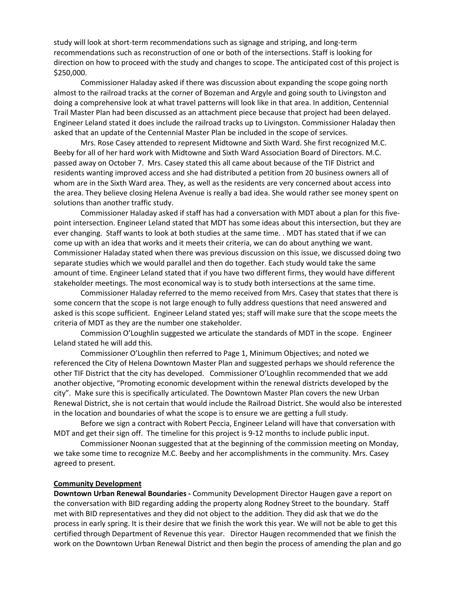study will look at short-term recommendations such as signage and striping, and long-term recommendations such as reconstruction of one or both of the intersections. Staff is looking for direction on how to proceed with the study and changes to scope. The anticipated cost of this project is \$250,000.

Commissioner Haladay asked if there was discussion about expanding the scope going north almost to the railroad tracks at the corner of Bozeman and Argyle and going south to Livingston and doing a comprehensive look at what travel patterns will look like in that area. In addition, Centennial Trail Master Plan had been discussed as an attachment piece because that project had been delayed. Engineer Leland stated it does include the railroad tracks up to Livingston. Commissioner Haladay then asked that an update of the Centennial Master Plan be included in the scope of services.

Mrs. Rose Casey attended to represent Midtowne and Sixth Ward. She first recognized M.C. Beeby for all of her hard work with Midtowne and Sixth Ward Association Board of Directors. M.C. passed away on October 7. Mrs. Casey stated this all came about because of the TIF District and residents wanting improved access and she had distributed a petition from 20 business owners all of whom are in the Sixth Ward area. They, as well as the residents are very concerned about access into the area. They believe closing Helena Avenue is really a bad idea. She would rather see money spent on solutions than another traffic study.

Commissioner Haladay asked if staff has had a conversation with MDT about a plan for this fivepoint intersection. Engineer Leland stated that MDT has some ideas about this intersection, but they are ever changing. Staff wants to look at both studies at the same time. . MDT has stated that if we can come up with an idea that works and it meets their criteria, we can do about anything we want. Commissioner Haladay stated when there was previous discussion on this issue, we discussed doing two separate studies which we would parallel and then do together. Each study would take the same amount of time. Engineer Leland stated that if you have two different firms, they would have different stakeholder meetings. The most economical way is to study both intersections at the same time.

Commissioner Haladay referred to the memo received from Mrs. Casey that states that there is some concern that the scope is not large enough to fully address questions that need answered and asked is this scope sufficient. Engineer Leland stated yes; staff will make sure that the scope meets the criteria of MDT as they are the number one stakeholder.

Commission O'Loughlin suggested we articulate the standards of MDT in the scope. Engineer Leland stated he will add this.

Commissioner O'Loughlin then referred to Page 1, Minimum Objectives; and noted we referenced the City of Helena Downtown Master Plan and suggested perhaps we should reference the other TIF District that the city has developed. Commissioner O'Loughlin recommended that we add another objective, "Promoting economic development within the renewal districts developed by the city". Make sure this is specifically articulated. The Downtown Master Plan covers the new Urban Renewal District, she is not certain that would include the Railroad District. She would also be interested in the location and boundaries of what the scope is to ensure we are getting a full study.

Before we sign a contract with Robert Peccia, Engineer Leland will have that conversation with MDT and get their sign off. The timeline for this project is 9-12 months to include public input.

Commissioner Noonan suggested that at the beginning of the commission meeting on Monday, we take some time to recognize M.C. Beeby and her accomplishments in the community. Mrs. Casey agreed to present.

### **Community Development**

**Downtown Urban Renewal Boundaries -** Community Development Director Haugen gave a report on the conversation with BID regarding adding the property along Rodney Street to the boundary. Staff met with BID representatives and they did not object to the addition. They did ask that we do the process in early spring. It is their desire that we finish the work this year. We will not be able to get this certified through Department of Revenue this year. Director Haugen recommended that we finish the work on the Downtown Urban Renewal District and then begin the process of amending the plan and go